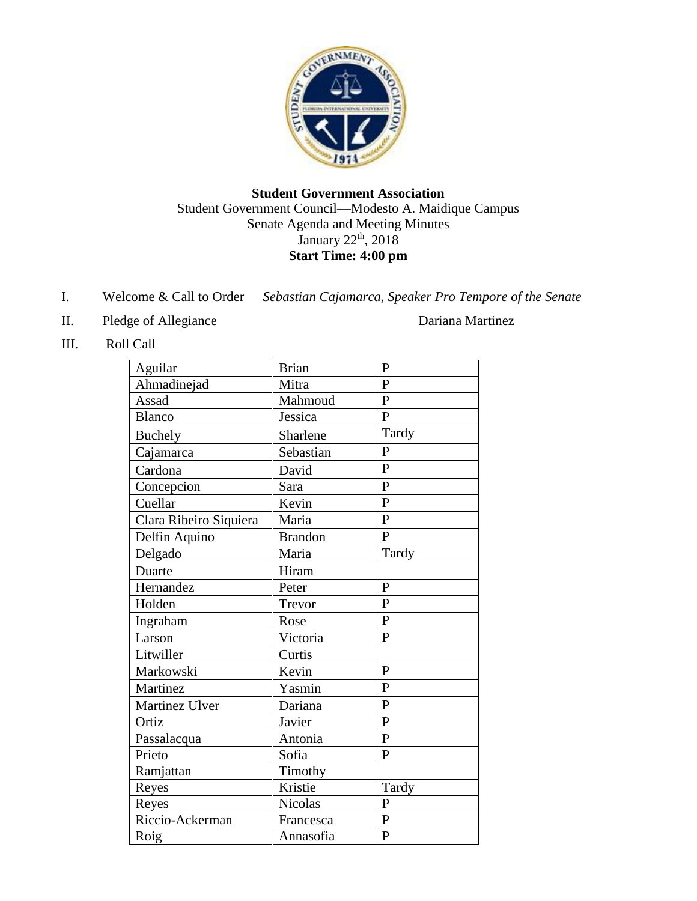

### **Student Government Association** Student Government Council—Modesto A. Maidique Campus Senate Agenda and Meeting Minutes January 22<sup>th</sup>, 2018 **Start Time: 4:00 pm**

- I. Welcome & Call to Order *Sebastian Cajamarca, Speaker Pro Tempore of the Senate*
- II. Pledge of Allegiance Dariana Martinez

III. Roll Call

| Aguilar                | <b>Brian</b>   | $\mathbf{P}$   |
|------------------------|----------------|----------------|
| Ahmadinejad            | Mitra          | $\mathbf{P}$   |
| Assad                  | Mahmoud        | $\mathbf{P}$   |
| <b>Blanco</b>          | Jessica        | $\overline{P}$ |
| <b>Buchely</b>         | Sharlene       | Tardy          |
| Cajamarca              | Sebastian      | $\mathbf{P}$   |
| Cardona                | David          | $\mathbf{P}$   |
| Concepcion             | Sara           | $\mathbf{P}$   |
| Cuellar                | Kevin          | $\mathbf{P}$   |
| Clara Ribeiro Siquiera | Maria          | $\overline{P}$ |
| Delfin Aquino          | <b>Brandon</b> | $\mathbf{P}$   |
| Delgado                | Maria          | Tardy          |
| Duarte                 | Hiram          |                |
| Hernandez              | Peter          | $\overline{P}$ |
| Holden                 | Trevor         | $\mathbf{P}$   |
| Ingraham               | Rose           | $\mathbf{P}$   |
| Larson                 | Victoria       | $\mathbf{P}$   |
| Litwiller              | Curtis         |                |
| Markowski              | Kevin          | $\mathbf{P}$   |
| Martinez               | Yasmin         | $\mathbf{P}$   |
| Martinez Ulver         | Dariana        | $\overline{P}$ |
| Ortiz                  | Javier         | $\mathbf{P}$   |
| Passalacqua            | Antonia        | $\mathbf{P}$   |
| Prieto                 | Sofia          | $\mathbf{P}$   |
| Ramjattan              | Timothy        |                |
| Reyes                  | Kristie        | Tardy          |
| Reyes                  | Nicolas        | $\mathbf{P}$   |
| Riccio-Ackerman        | Francesca      | $\overline{P}$ |
| Roig                   | Annasofia      | $\overline{P}$ |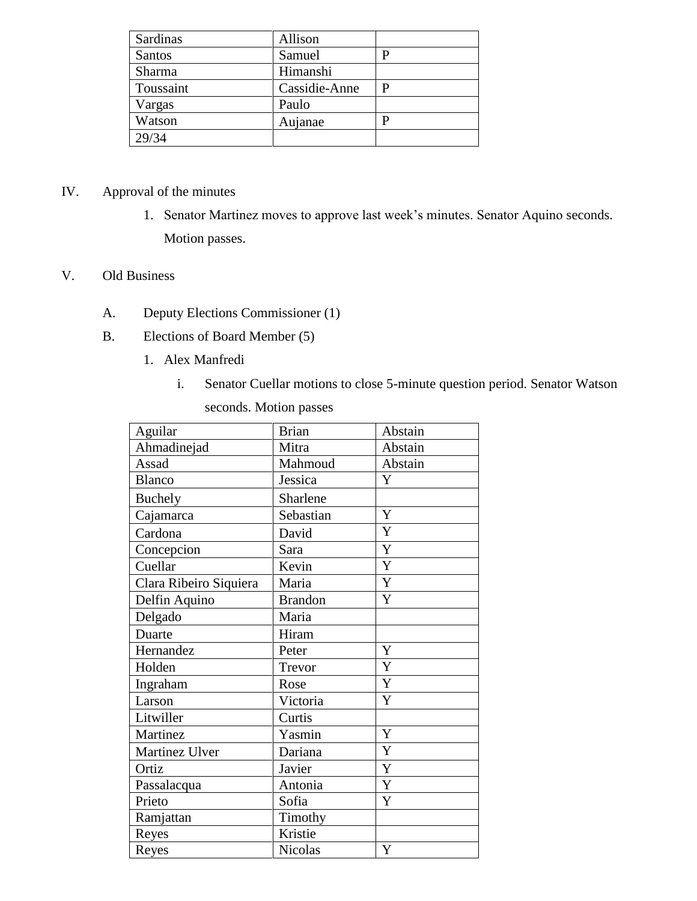| Sardinas  | Allison       |  |
|-----------|---------------|--|
| Santos    | Samuel        |  |
| Sharma    | Himanshi      |  |
| Toussaint | Cassidie-Anne |  |
| Vargas    | Paulo         |  |
| Watson    | Aujanae       |  |
| 29/34     |               |  |

# IV. Approval of the minutes

1. Senator Martinez moves to approve last week's minutes. Senator Aquino seconds. Motion passes.

### V. Old Business

- A. Deputy Elections Commissioner (1)
- B. Elections of Board Member (5)
	- 1. Alex Manfredi
		- i. Senator Cuellar motions to close 5-minute question period. Senator Watson seconds. Motion passes

| Aguilar                | <b>Brian</b>   | Abstain     |
|------------------------|----------------|-------------|
| Ahmadinejad            | Mitra          | Abstain     |
| Assad                  | Mahmoud        | Abstain     |
| <b>Blanco</b>          | Jessica        | Y           |
| <b>Buchely</b>         | Sharlene       |             |
| Cajamarca              | Sebastian      | Y           |
| Cardona                | David          | $\mathbf Y$ |
| Concepcion             | Sara           | $\mathbf Y$ |
| Cuellar                | Kevin          | Y           |
| Clara Ribeiro Siquiera | Maria          | $\mathbf Y$ |
| Delfin Aquino          | <b>Brandon</b> | Y           |
| Delgado                | Maria          |             |
| Duarte                 | Hiram          |             |
| Hernandez              | Peter          | Y           |
| Holden                 | Trevor         | $\mathbf Y$ |
| Ingraham               | Rose           | $\mathbf Y$ |
| Larson                 | Victoria       | Y           |
| Litwiller              | Curtis         |             |
| Martinez               | Yasmin         | Y           |
| Martinez Ulver         | Dariana        | Y           |
| Ortiz                  | Javier         | $\mathbf Y$ |
| Passalacqua            | Antonia        | $\mathbf Y$ |
| Prieto                 | Sofia          | Y           |
| Ramjattan              | Timothy        |             |
| Reyes                  | Kristie        |             |
| Reyes                  | Nicolas        | $\mathbf Y$ |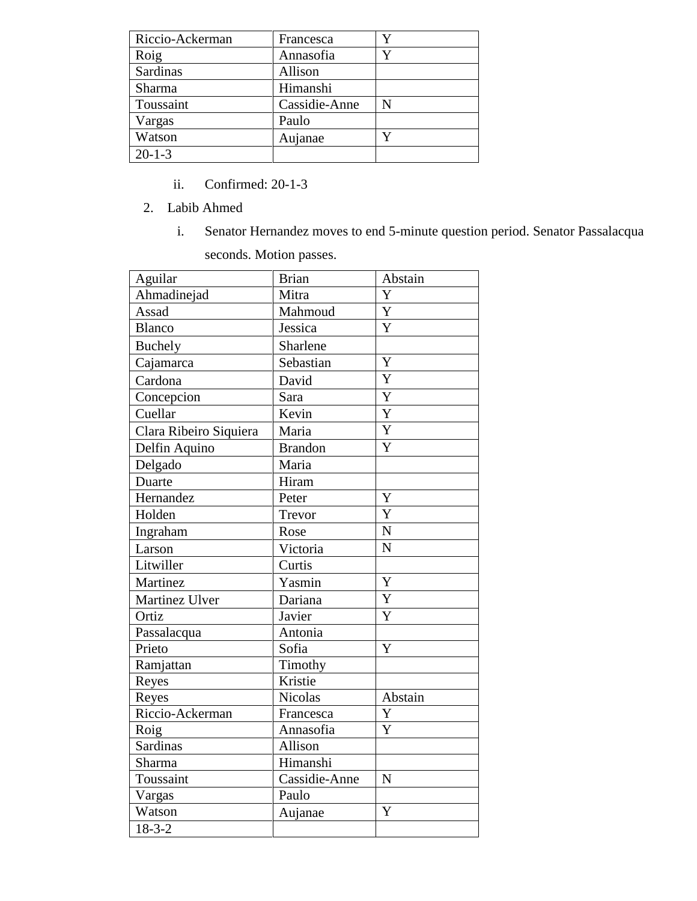| Riccio-Ackerman | Francesca     |   |
|-----------------|---------------|---|
| Roig            | Annasofia     |   |
| Sardinas        | Allison       |   |
| Sharma          | Himanshi      |   |
| Toussaint       | Cassidie-Anne | N |
| Vargas          | Paulo         |   |
| Watson          | Aujanae       |   |
| $20 - 1 - 3$    |               |   |

- ii. Confirmed: 20-1-3
- 2. Labib Ahmed
	- i. Senator Hernandez moves to end 5-minute question period. Senator Passalacqua

seconds. Motion passes.

| Aguilar                | <b>Brian</b>   | Abstain        |
|------------------------|----------------|----------------|
| Ahmadinejad            | Mitra          | Y              |
| Assad                  | Mahmoud        | $\mathbf Y$    |
| Blanco                 | Jessica        | Y              |
| Buchely                | Sharlene       |                |
| Cajamarca              | Sebastian      | Y              |
| Cardona                | David          | $\overline{Y}$ |
| Concepcion             | Sara           | Y              |
| Cuellar                | Kevin          | Y              |
| Clara Ribeiro Siquiera | Maria          | $\overline{Y}$ |
| Delfin Aquino          | <b>Brandon</b> | Y              |
| Delgado                | Maria          |                |
| Duarte                 | Hiram          |                |
| Hernandez              | Peter          | Y              |
| Holden                 | Trevor         | $\overline{Y}$ |
| Ingraham               | Rose           | $\mathbf N$    |
| Larson                 | Victoria       | $\overline{N}$ |
| Litwiller              | Curtis         |                |
| Martinez               | Yasmin         | Y              |
| Martinez Ulver         | Dariana        | $\mathbf Y$    |
| Ortiz                  | Javier         | $\overline{Y}$ |
| Passalacqua            | Antonia        |                |
| Prieto                 | Sofia          | Y              |
| Ramjattan              | Timothy        |                |
| Reyes                  | Kristie        |                |
| Reyes                  | <b>Nicolas</b> | Abstain        |
| Riccio-Ackerman        | Francesca      | Y              |
| Roig                   | Annasofia      | Y              |
| <b>Sardinas</b>        | Allison        |                |
| Sharma                 | Himanshi       |                |
| Toussaint              | Cassidie-Anne  | N              |
| Vargas                 | Paulo          |                |
| Watson                 | Aujanae        | Y              |
| $18 - 3 - 2$           |                |                |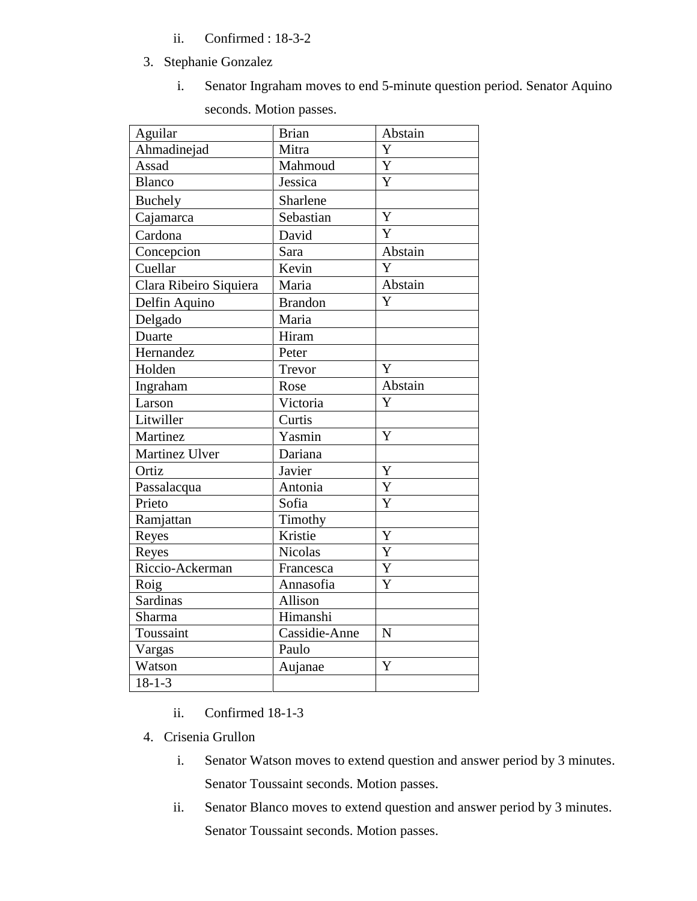- ii. Confirmed : 18-3-2
- 3. Stephanie Gonzalez
	- i. Senator Ingraham moves to end 5-minute question period. Senator Aquino

seconds. Motion passes.

| Aguilar                | <b>Brian</b>   | Abstain               |
|------------------------|----------------|-----------------------|
| Ahmadinejad            | Mitra          | Y                     |
| Assad                  | Mahmoud        | Y                     |
| <b>Blanco</b>          | Jessica        | Y                     |
| <b>Buchely</b>         | Sharlene       |                       |
| Cajamarca              | Sebastian      | Y                     |
| Cardona                | David          | $\overline{Y}$        |
| Concepcion             | Sara           | Abstain               |
| Cuellar                | Kevin          | Y                     |
| Clara Ribeiro Siquiera | Maria          | Abstain               |
| Delfin Aquino          | <b>Brandon</b> | Y                     |
| Delgado                | Maria          |                       |
| Duarte                 | Hiram          |                       |
| Hernandez              | Peter          |                       |
| Holden                 | Trevor         | Y                     |
| Ingraham               | Rose           | Abstain               |
| Larson                 | Victoria       | Y                     |
| Litwiller              | Curtis         |                       |
| Martinez               | Yasmin         | Y                     |
| Martinez Ulver         | Dariana        |                       |
| Ortiz                  | Javier         | Y                     |
| Passalacqua            | Antonia        | $\overline{Y}$        |
| Prieto                 | Sofia          | $\overline{\text{Y}}$ |
| Ramjattan              | Timothy        |                       |
| Reyes                  | Kristie        | Y                     |
| Reyes                  | <b>Nicolas</b> | Y                     |
| Riccio-Ackerman        | Francesca      | Y                     |
| Roig                   | Annasofia      | $\overline{\text{Y}}$ |
| Sardinas               | Allison        |                       |
| Sharma                 | Himanshi       |                       |
| Toussaint              | Cassidie-Anne  | $\mathbf N$           |
| Vargas                 | Paulo          |                       |
| Watson                 | Aujanae        | $\overline{\text{Y}}$ |
| $18 - 1 - 3$           |                |                       |

- ii. Confirmed 18-1-3
- 4. Crisenia Grullon
	- i. Senator Watson moves to extend question and answer period by 3 minutes. Senator Toussaint seconds. Motion passes.
	- ii. Senator Blanco moves to extend question and answer period by 3 minutes. Senator Toussaint seconds. Motion passes.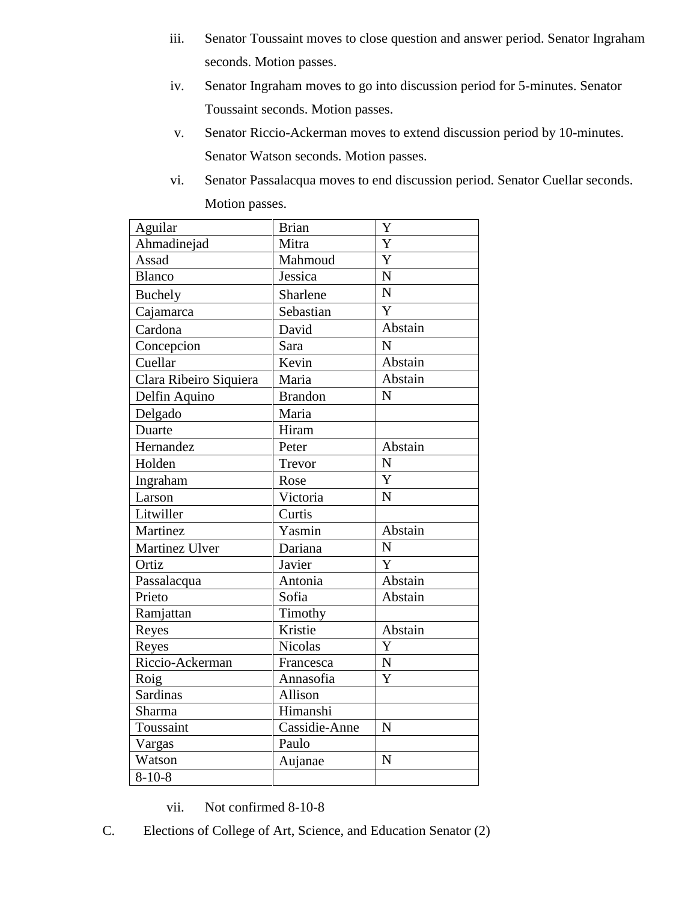- iii. Senator Toussaint moves to close question and answer period. Senator Ingraham seconds. Motion passes.
- iv. Senator Ingraham moves to go into discussion period for 5-minutes. Senator Toussaint seconds. Motion passes.
- v. Senator Riccio-Ackerman moves to extend discussion period by 10-minutes. Senator Watson seconds. Motion passes.
- vi. Senator Passalacqua moves to end discussion period. Senator Cuellar seconds. Motion passes.

| Aguilar                | <b>Brian</b>   | Y                       |
|------------------------|----------------|-------------------------|
| Ahmadinejad            | Mitra          | $\overline{\text{Y}}$   |
| Assad                  | Mahmoud        | Y                       |
| <b>Blanco</b>          | Jessica        | $\overline{N}$          |
| <b>Buchely</b>         | Sharlene       | $\overline{N}$          |
| Cajamarca              | Sebastian      | Y                       |
| Cardona                | David          | Abstain                 |
| Concepcion             | Sara           | $\overline{N}$          |
| Cuellar                | Kevin          | Abstain                 |
| Clara Ribeiro Siquiera | Maria          | Abstain                 |
| Delfin Aquino          | <b>Brandon</b> | $\mathbf N$             |
| Delgado                | Maria          |                         |
| Duarte                 | Hiram          |                         |
| Hernandez              | Peter          | Abstain                 |
| Holden                 | Trevor         | $\overline{\mathbf{N}}$ |
| Ingraham               | Rose           | Y                       |
| Larson                 | Victoria       | $\overline{N}$          |
| Litwiller              | Curtis         |                         |
| Martinez               | Yasmin         | Abstain                 |
| Martinez Ulver         | Dariana        | $\mathbf N$             |
| Ortiz                  | Javier         | Y                       |
| Passalacqua            | Antonia        | Abstain                 |
| Prieto                 | Sofia          | Abstain                 |
| Ramjattan              | Timothy        |                         |
| Reyes                  | Kristie        | Abstain                 |
| Reyes                  | Nicolas        | Y                       |
| Riccio-Ackerman        | Francesca      | $\overline{N}$          |
| Roig                   | Annasofia      | Y                       |
| <b>Sardinas</b>        | Allison        |                         |
| Sharma                 | Himanshi       |                         |
| Toussaint              | Cassidie-Anne  | N                       |
| Vargas                 | Paulo          |                         |
| Watson                 | Aujanae        | $\mathbf N$             |
| $8 - 10 - 8$           |                |                         |

#### vii. Not confirmed 8-10-8

C. Elections of College of Art, Science, and Education Senator (2)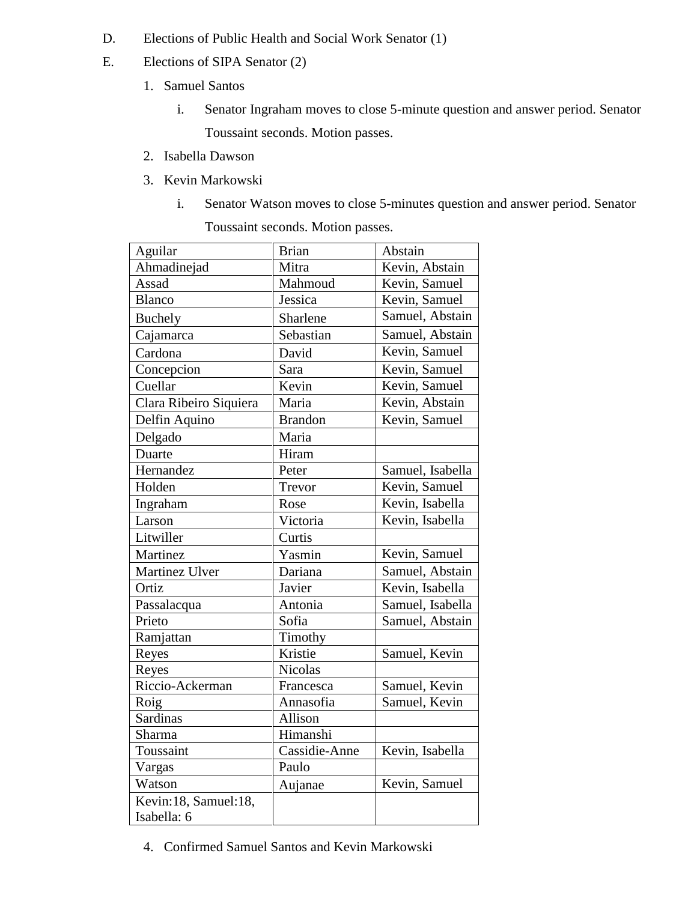- D. Elections of Public Health and Social Work Senator (1)
- E. Elections of SIPA Senator (2)
	- 1. Samuel Santos
		- i. Senator Ingraham moves to close 5-minute question and answer period. Senator Toussaint seconds. Motion passes.
	- 2. Isabella Dawson
	- 3. Kevin Markowski
		- i. Senator Watson moves to close 5-minutes question and answer period. Senator Toussaint seconds. Motion passes.

| Aguilar                | <b>Brian</b>   | Abstain          |
|------------------------|----------------|------------------|
| Ahmadinejad            | Mitra          | Kevin, Abstain   |
| Assad                  | Mahmoud        | Kevin, Samuel    |
| <b>Blanco</b>          | Jessica        | Kevin, Samuel    |
| Buchely                | Sharlene       | Samuel, Abstain  |
| Cajamarca              | Sebastian      | Samuel, Abstain  |
| Cardona                | David          | Kevin, Samuel    |
| Concepcion             | Sara           | Kevin, Samuel    |
| Cuellar                | Kevin          | Kevin, Samuel    |
| Clara Ribeiro Siquiera | Maria          | Kevin, Abstain   |
| Delfin Aquino          | <b>Brandon</b> | Kevin, Samuel    |
| Delgado                | Maria          |                  |
| Duarte                 | Hiram          |                  |
| Hernandez              | Peter          | Samuel, Isabella |
| Holden                 | Trevor         | Kevin, Samuel    |
| Ingraham               | Rose           | Kevin, Isabella  |
| Larson                 | Victoria       | Kevin, Isabella  |
| Litwiller              | Curtis         |                  |
| Martinez               | Yasmin         | Kevin, Samuel    |
| Martinez Ulver         | Dariana        | Samuel, Abstain  |
| Ortiz                  | Javier         | Kevin, Isabella  |
| Passalacqua            | Antonia        | Samuel, Isabella |
| Prieto                 | Sofia          | Samuel, Abstain  |
| Ramjattan              | Timothy        |                  |
| Reyes                  | Kristie        | Samuel, Kevin    |
| Reyes                  | <b>Nicolas</b> |                  |
| Riccio-Ackerman        | Francesca      | Samuel, Kevin    |
| Roig                   | Annasofia      | Samuel, Kevin    |
| <b>Sardinas</b>        | Allison        |                  |
| Sharma                 | Himanshi       |                  |
| Toussaint              | Cassidie-Anne  | Kevin, Isabella  |
| Vargas                 | Paulo          |                  |
| Watson                 | Aujanae        | Kevin, Samuel    |
| Kevin:18, Samuel:18,   |                |                  |
| Isabella: 6            |                |                  |

4. Confirmed Samuel Santos and Kevin Markowski